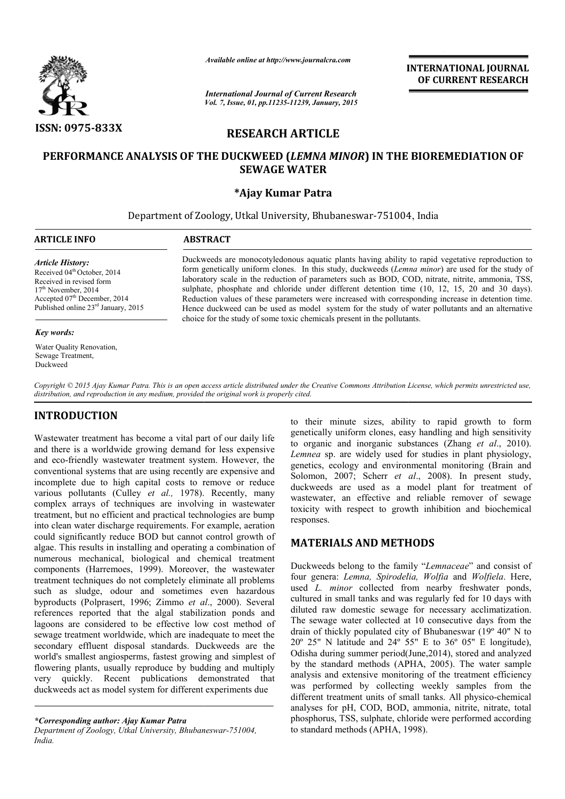

*Available online at http://www.journalcra.com*

*International Journal of Current Research Vol. 7, Issue, 01, pp.11235-11239, January, 2015* **INTERNATIONAL INTERNATIONAL JOURNAL OF CURRENT RESEARCH** 

# **RESEARCH ARTICLE**

# **PERFORMANCE ANALYSIS OF THE DUCKWEED (** *LEMNA MINOR***) IN THE BIOREMEDIATION OF ) OF SEWAGE WATER**

# **\*Ajay Kumar Patra**

Department of Zoology, Utkal University, Bhubaneswar-751004 751004, India 1

| <b>ARTICLE INFO</b> | <b>ABSTRACT</b> |
|---------------------|-----------------|
|                     |                 |

### *Article History:*

Received 04<sup>th</sup> October, 2014 Received in revised form  $17<sup>th</sup>$  November, 2014 Accepted 07<sup>th</sup> December, 2014 Published online 23<sup>rd</sup> January, 2015

#### *Key words:*

Water Quality Renovation, Sewage Treatment, Duckweed

Duckweeds are monocotyledonous aquatic plants having ability to rapid vegetative reproduction to form genetically uniform clones. In this study, duckweeds (*Lemna minor*) are used for the study of laboratory scale in the reduction of parameters such as BOD, COD, nitrate, nitrite, ammonia, TSS, sulphate, phosphate and chloride under different detention time (10, 12, 15, 20 and 30 days). Reduction values of these parameters were increased with corresponding increase in detention time. Hence duckweed can be used as model system for the study of water pollutants and an alternative choice for the study of some toxic chemicals present in the pollutants. e, phosphate and chloride under different detention time (10, 12, 15, 20 and 30 days). ion values of these parameters were increased with corresponding increase in detention time. duckweed can be used as model system for t

Copyright © 2015 Ajay Kumar Patra. This is an open access article distributed under the Creative Commons Attribution License, which permits unrestricted use, *distribution, and reproduction in any medium, provided the original work is properly cited.*

# **INTRODUCTION**

Wastewater treatment has become a vital part of our daily life and there is a worldwide growing demand for less expensive and eco-friendly wastewater treatment system. However, the conventional systems that are using recently are expensive and incomplete due to high capital costs to remove or reduce various pollutants (Culley *et al.,* 1978). Recently, many complex arrays of techniques are involving in wastewater treatment, but no efficient and practical technologies are bump into clean water discharge requirements. For example, aera could significantly reduce BOD but cannot control growth of algae. This results in installing and operating a combination of numerous mechanical, biological and chemical treatment components (Harremoes, 1999). Moreover, the wastewater treatment techniques do not completely eliminate all problems such as sludge, odour and sometimes even hazardous byproducts (Polprasert, 1996; Zimmo *et al* references reported that the algal stabilization ponds and lagoons are considered to be effective low cost method of sewage treatment worldwide, which are inadequate to meet the secondary effluent disposal standards. Duckweeds are the world's smallest angiosperms, fastest growing and simplest of flowering plants, usually reproduce by budding and multiply very quickly. Recent publications demonstrated that duckweeds act as model system for different experiments due friendly wastewater treatment system. However, the<br>onal systems that are using recently are expensive and<br>te due to high capital costs to remove or reduce<br>pollutants (Culley *et al.*, 1978). Recently, many<br>arrays of techni ques do not completely eliminate all problems<br>e, odour and sometimes even hazardous<br>prasert, 1996; Zimmo *et al.*, 2000). Several to their minute sizes, ability to rapid growth to form genetically uniform clones, easy handling and high sensitivity to organic and inorganic substances (Zhang  $et$   $al$ , 2010). *Lemnea* sp. are widely used for studies in plant physiology, Lemnea sp. are widely used for studies in plant physiology, genetics, ecology and environmental monitoring (Brain and Solomon, 2007; Scherr et al., 2008). In present study, duckweeds are used as a model plant for treatment of wastewater, an effective and reliable remover of sewage duckweeds are used as a model plant for treatment of wastewater, an effective and reliable remover of sewage toxicity with respect to growth inhibition and biochemical responses. their minute sizes, ability to rapid growth to form etically uniform clones, easy handling and high sensitivity organic and inorganic substances *(Zhang et al., 2010)*.

# **MATERIALS AND METHODS**

Duckweeds belong to the family "*Lemnaceae*" and consist of four genera: *Lemna, Spirodelia, Wolfia Lemna, Spirodelia, Wolfia* and *Wolfiela*. Here, used *L. minor* collected from nearby freshwater ponds, cultured in small tanks and was regularly fed for 10 days with diluted raw domestic sewage for necessary acclimatization. The sewage water collected at 10 consecutive days from the drain of thickly populated city of Bhubaneswar (19<sup>o</sup> 40<sup>"</sup> N to  $20^{\circ}$  25" N latitude and  $24^{\circ}$  55" E to 36° 05" E longitude), Odisha during summer period(June,2014), stored and analyzed Odisha during summer period(June, 2014), stored and analyzed<br>by the standard methods (APHA, 2005). The water sample analysis and extensive monitoring of the treatment efficiency was performed by collecting weekly samples from the was performed by collecting weekly samples from the different treatment units of small tanks. All physico-chemical analyses for pH, COD, BOD, ammonia, nitrite, nitrate, total phosphorus, TSS, sulphate, chloride were performed according to standard methods (APHA, 1998). minor collected from nearby freshwater ponds, in small tanks and was regularly fed for 10 days with aw domestic sewage for necessary acclimatization. age water collected at 10 consecutive days from the thickly populated c **INTERNATIONAL COURNAL COF CURRENT RESEARCH**<br> **OF CURRENT RESEARCH**<br> **OF CURRENT RESEARCH**<br> **OF CURRENT RESEARCH**<br> **OF CURRENT RESEARCH**<br> **OF CURRENT RESEARCH**<br> **OF CURRENT RESEARCH**<br> **OF SECUTE AND ACTES (***CERTIFY AND* 

*<sup>\*</sup>Corresponding author: Ajay Kumar Patra*

*Department of Zoology, Utkal University, Bhubaneswar Bhubaneswar-751004, India.*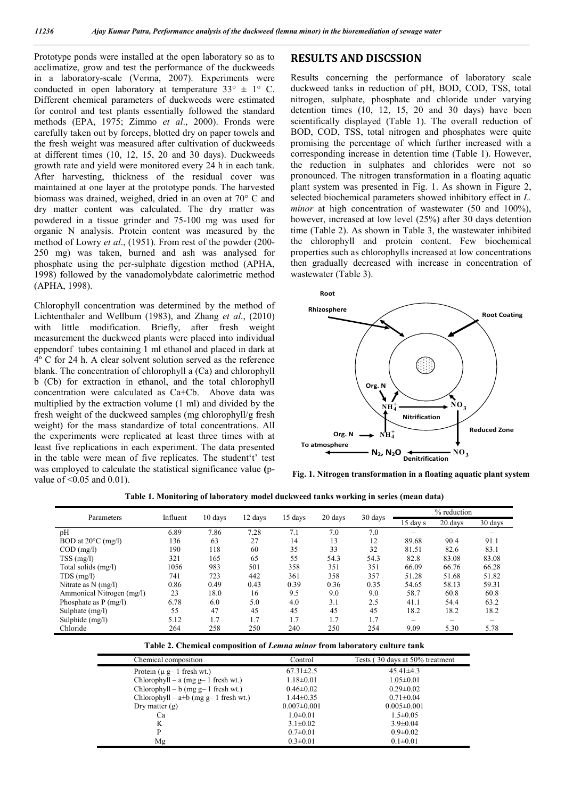Prototype ponds were installed at the open laboratory so as to acclimatize, grow and test the performance of the duckweeds in a laboratory-scale (Verma, 2007). Experiments were conducted in open laboratory at temperature  $33^{\circ} \pm 1^{\circ}$  C. Different chemical parameters of duckweeds were estimated for control and test plants essentially followed the standard methods (EPA, 1975; Zimmo *et al*., 2000). Fronds were carefully taken out by forceps, blotted dry on paper towels and the fresh weight was measured after cultivation of duckweeds at different times (10, 12, 15, 20 and 30 days). Duckweeds growth rate and yield were monitored every 24 h in each tank. After harvesting, thickness of the residual cover was maintained at one layer at the prototype ponds. The harvested biomass was drained, weighed, dried in an oven at 70° C and dry matter content was calculated. The dry matter was powdered in a tissue grinder and 75-100 mg was used for organic N analysis. Protein content was measured by the method of Lowry *et al*., (1951). From rest of the powder (200- 250 mg) was taken, burned and ash was analysed for phosphate using the per-sulphate digestion method (APHA, 1998) followed by the vanadomolybdate calorimetric method (APHA, 1998).

Chlorophyll concentration was determined by the method of Lichtenthaler and Wellbum (1983), and Zhang *et al*., (2010) with little modification. Briefly, after fresh weight measurement the duckweed plants were placed into individual eppendorf tubes containing 1 ml ethanol and placed in dark at 4º C for 24 h. A clear solvent solution served as the reference blank. The concentration of chlorophyll a (Ca) and chlorophyll b (Cb) for extraction in ethanol, and the total chlorophyll concentration were calculated as Ca+Cb. Above data was multiplied by the extraction volume (1 ml) and divided by the fresh weight of the duckweed samples (mg chlorophyll/g fresh weight) for the mass standardize of total concentrations. All the experiments were replicated at least three times with at least five replications in each experiment. The data presented in the table were mean of five replicates. The student't' test was employed to calculate the statistical significance value **(**pvalue of <0.05 and 0.01).

## **RESULTS AND DISCSSION**

Results concerning the performance of laboratory scale duckweed tanks in reduction of pH, BOD, COD, TSS, total nitrogen, sulphate, phosphate and chloride under varying detention times (10, 12, 15, 20 and 30 days) have been scientifically displayed (Table 1). The overall reduction of BOD, COD, TSS, total nitrogen and phosphates were quite promising the percentage of which further increased with a corresponding increase in detention time (Table 1). However, the reduction in sulphates and chlorides were not so pronounced. The nitrogen transformation in a floating aquatic plant system was presented in Fig. 1. As shown in Figure 2, selected biochemical parameters showed inhibitory effect in *L. minor* at high concentration of wastewater (50 and 100%), however, increased at low level (25%) after 30 days detention time (Table 2). As shown in Table 3, the wastewater inhibited the chlorophyll and protein content. Few biochemical properties such as chlorophylls increased at low concentrations then gradually decreased with increase in concentration of wastewater (Table 3).



**Fig. 1. Nitrogen transformation in a floating aquatic plant system**

| Table 1. Monitoring of laboratory model duckweed tanks working in series (mean data) |  |  |  |
|--------------------------------------------------------------------------------------|--|--|--|
|--------------------------------------------------------------------------------------|--|--|--|

| Parameters                   | Influent | 10 days | 12 days | 15 days | 20 days | 30 days | % reduction |         |         |
|------------------------------|----------|---------|---------|---------|---------|---------|-------------|---------|---------|
|                              |          |         |         |         |         |         | $15$ day s  | 20 days | 30 days |
| pH                           | 6.89     | 7.86    | 7.28    | 7.1     | 7.0     | 7.0     |             |         |         |
| BOD at $20^{\circ}$ C (mg/l) | 136      | 63      | 27      | 14      | 13      | 12      | 89.68       | 90.4    | 91.1    |
| $COD$ (mg/l)                 | 190      | 118     | 60      | 35      | 33      | 32      | 81.51       | 82.6    | 83.1    |
| $TSS$ (mg/l)                 | 321      | 165     | 65      | 55      | 54.3    | 54.3    | 82.8        | 83.08   | 83.08   |
| Total solids (mg/l)          | 1056     | 983     | 501     | 358     | 351     | 351     | 66.09       | 66.76   | 66.28   |
| $TDS$ (mg/l)                 | 741      | 723     | 442     | 361     | 358     | 357     | 51.28       | 51.68   | 51.82   |
| Nitrate as $N$ (mg/l)        | 0.86     | 0.49    | 0.43    | 0.39    | 0.36    | 0.35    | 54.65       | 58.13   | 59.31   |
| Ammonical Nitrogen (mg/l)    | 23       | 18.0    | 16      | 9.5     | 9.0     | 9.0     | 58.7        | 60.8    | 60.8    |
| Phosphate as $P$ (mg/l)      | 6.78     | 6.0     | 5.0     | 4.0     | 3.1     | 2.5     | 41.1        | 54.4    | 63.2    |
| Sulphate (mg/l)              | 55       | 47      | 45      | 45      | 45      | 45      | 18.2        | 18.2    | 18.2    |
| Sulphide (mg/l)              | 5.12     | 1.7     | 1.7     | 1.7     | 1.7     | 1.7     | -           | -       |         |
| Chloride                     | 264      | 258     | 250     | 240     | 250     | 254     | 9.09        | 5.30    | 5.78    |

|  |  | Table 2. Chemical composition of Lemna minor from laboratory culture tank |  |
|--|--|---------------------------------------------------------------------------|--|
|  |  |                                                                           |  |

| Chemical composition                    | Control           | Tests (30 days at 50% treatment |
|-----------------------------------------|-------------------|---------------------------------|
| Protein $(\mu g - 1$ fresh wt.)         | $67.31 \pm 2.5$   | $45.41\pm4.3$                   |
| Chlorophyll – a (mg $g-1$ fresh wt.)    | $1.18 \pm 0.01$   | $1.05 \pm 0.01$                 |
| $Chlorophyll - b (mg g - 1 fresh wt.)$  | $0.46 \pm 0.02$   | $0.29 \pm 0.02$                 |
| Chlorophyll – $a+b$ (mg g– 1 fresh wt.) | $1.44\pm0.35$     | $0.71 \pm 0.04$                 |
| Dry matter $(g)$                        | $0.007 \pm 0.001$ | $0.005 \pm 0.001$               |
| Сa                                      | $1.0 \pm 0.01$    | $1.5 \pm 0.05$                  |
| K                                       | $3.1 \pm 0.02$    | $3.9 \pm 0.04$                  |
| P                                       | $0.7 \pm 0.01$    | $0.9 \pm 0.02$                  |
| Mg                                      | $0.3 \pm 0.01$    | $0.1 \pm 0.01$                  |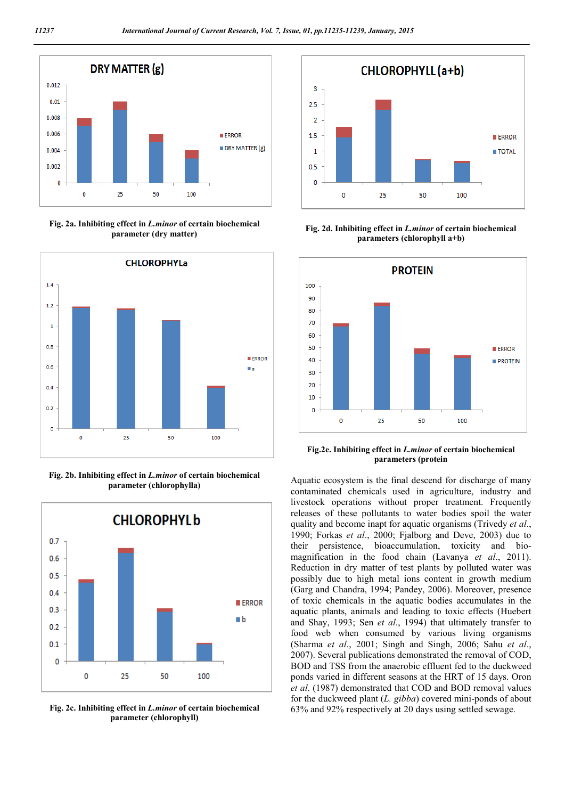

**Fig. 2a. Inhibiting effect in** *L.minor* **of certain biochemical parameter (dry matter)**



**Fig. 2b. Inhibiting effect in** *L.minor* **of certain biochemical parameter (chlorophylla)**



**Fig. 2c. Inhibiting effect in** *L.minor* **of certain biochemical parameter (chlorophyll)**



**Fig. 2d. Inhibiting effect in** *L.minor* **of certain biochemical parameters (chlorophyll a+b)**



**Fig.2e. Inhibiting effect in** *L.minor* **of certain biochemical parameters (protein**

Aquatic ecosystem is the final descend for discharge of many contaminated chemicals used in agriculture, industry and livestock operations without proper treatment. Frequently releases of these pollutants to water bodies spoil the water quality and become inapt for aquatic organisms (Trivedy *et al*., 1990; Forkas *et al*., 2000; Fjalborg and Deve, 2003) due to their persistence, bioaccumulation, toxicity and biomagnification in the food chain (Lavanya *et al*., 2011). Reduction in dry matter of test plants by polluted water was possibly due to high metal ions content in growth medium (Garg and Chandra, 1994; Pandey, 2006). Moreover, presence of toxic chemicals in the aquatic bodies accumulates in the aquatic plants, animals and leading to toxic effects (Huebert and Shay, 1993; Sen *et al*., 1994) that ultimately transfer to food web when consumed by various living organisms (Sharma *et al*., 2001; Singh and Singh, 2006; Sahu *et al*., 2007). Several publications demonstrated the removal of COD, BOD and TSS from the anaerobic effluent fed to the duckweed ponds varied in different seasons at the HRT of 15 days. Oron *et al*. (1987) demonstrated that COD and BOD removal values for the duckweed plant (*L. gibba*) covered mini-ponds of about 63% and 92% respectively at 20 days using settled sewage.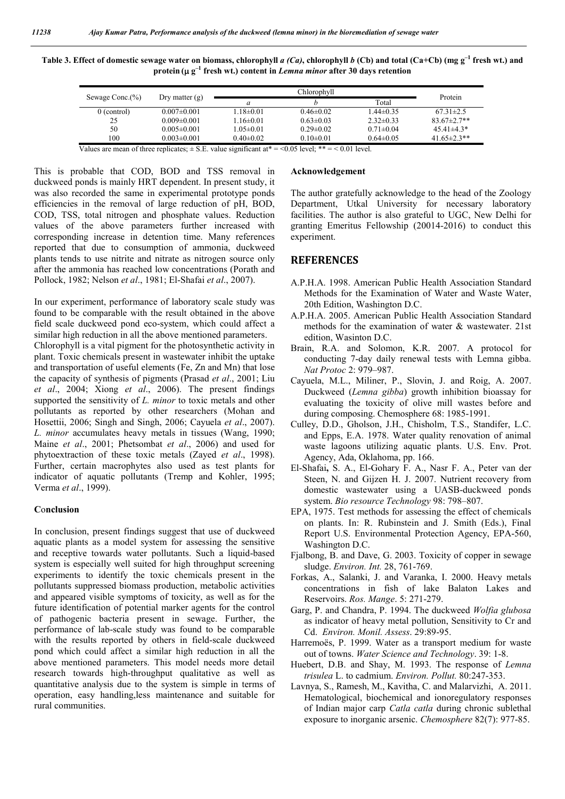**Table 3. Effect of domestic sewage water on biomass, chlorophyll** *a (Ca)***, chlorophyll** *b* **(Cb) and total (Ca+Cb) (mg g–1 fresh wt.) and protein** ( $\mu$  g<sup>-1</sup> fresh wt.) content in *Lemna minor* after 30 days retention

| Sewage Conc.(%) | Dry matter $(g)$  |                 | Protein         |                 |                   |
|-----------------|-------------------|-----------------|-----------------|-----------------|-------------------|
|                 |                   |                 |                 | Total           |                   |
| $0$ (control)   | $0.007 \pm 0.001$ | $1.18 \pm 0.01$ | $0.46 \pm 0.02$ | $1.44 \pm 0.35$ | $67.31 \pm 2.5$   |
| 25              | $0.009 \pm 0.001$ | $1.16 \pm 0.01$ | $0.63 \pm 0.03$ | $2.32\pm0.33$   | $83.67 \pm 2.7**$ |
| 50              | $0.005 \pm 0.001$ | $1.05 \pm 0.01$ | $0.29 \pm 0.02$ | $0.71 \pm 0.04$ | $45.41\pm4.3*$    |
| 100             | $0.003 \pm 0.001$ | $0.40 \pm 0.02$ | $0.10 \pm 0.01$ | $0.64 \pm 0.05$ | 41.65 $\pm$ 2.3** |

Values are mean of three replicates;  $\pm$  S.E. value significant at\* = <0.05 level; \*\* = < 0.01 level.

This is probable that COD, BOD and TSS removal in duckweed ponds is mainly HRT dependent. In present study, it was also recorded the same in experimental prototype ponds efficiencies in the removal of large reduction of pH, BOD, COD, TSS, total nitrogen and phosphate values. Reduction values of the above parameters further increased with corresponding increase in detention time. Many references reported that due to consumption of ammonia, duckweed plants tends to use nitrite and nitrate as nitrogen source only after the ammonia has reached low concentrations (Porath and Pollock, 1982; Nelson *et al*., 1981; El-Shafai *et al*., 2007).

In our experiment, performance of laboratory scale study was found to be comparable with the result obtained in the above field scale duckweed pond eco-system, which could affect a similar high reduction in all the above mentioned parameters.

Chlorophyll is a vital pigment for the photosynthetic activity in plant. Toxic chemicals present in wastewater inhibit the uptake and transportation of useful elements (Fe, Zn and Mn) that lose the capacity of synthesis of pigments (Prasad *et al*., 2001; Liu *et al*., 2004; Xiong *et al*., 2006). The present findings supported the sensitivity of *L. minor* to toxic metals and other pollutants as reported by other researchers (Mohan and Hosettii, 2006; Singh and Singh, 2006; Cayuela *et al*., 2007). *L. minor* accumulates heavy metals in tissues (Wang, 1990; Maine *et al*., 2001; Phetsombat *et al*., 2006) and used for phytoextraction of these toxic metals (Zayed *et al*., 1998). Further, certain macrophytes also used as test plants for indicator of aquatic pollutants (Tremp and Kohler, 1995; Verma *et al*., 1999).

### **C**o**nclusion**

In conclusion, present findings suggest that use of duckweed aquatic plants as a model system for assessing the sensitive and receptive towards water pollutants. Such a liquid-based system is especially well suited for high throughput screening experiments to identify the toxic chemicals present in the pollutants suppressed biomass production, metabolic activities and appeared visible symptoms of toxicity, as well as for the future identification of potential marker agents for the control of pathogenic bacteria present in sewage. Further, the performance of lab-scale study was found to be comparable with the results reported by others in field-scale duckweed pond which could affect a similar high reduction in all the above mentioned parameters. This model needs more detail research towards high-throughput qualitative as well as quantitative analysis due to the system is simple in terms of operation, easy handling,less maintenance and suitable for rural communities.

## **Acknowledgement**

The author gratefully acknowledge to the head of the Zoology Department, Utkal University for necessary laboratory facilities. The author is also grateful to UGC, New Delhi for granting Emeritus Fellowship (20014-2016) to conduct this experiment.

## **REFERENCES**

- A.P.H.A. 1998. American Public Health Association Standard Methods for the Examination of Water and Waste Water, 20th Edition, Washington D.C.
- A.P.H.A. 2005. American Public Health Association Standard methods for the examination of water & wastewater. 21st edition, Wasinton D.C.
- Brain, R.A. and Solomon, K.R. 2007. A protocol for conducting 7-day daily renewal tests with Lemna gibba. *Nat Protoc* 2: 979–987.
- Cayuela, M.L., Miliner, P., Slovin, J. and Roig, A. 2007. Duckweed (*Lemna gibba*) growth inhibition bioassay for evaluating the toxicity of olive mill wastes before and during composing. Chemosphere 68: 1985-1991.
- Culley, D.D., Gholson, J.H., Chisholm, T.S., Standifer, L.C. and Epps, E.A. 1978. Water quality renovation of animal waste lagoons utilizing aquatic plants. U.S. Env. Prot. Agency, Ada, Oklahoma, pp. 166.
- El-Shafai**,** S. A., El-Gohary F. A., Nasr F. A., Peter van der Steen, N. and Gijzen H. J. 2007. Nutrient recovery from domestic wastewater using a UASB-duckweed ponds system. *Bio resource Technology* 98: 798–807.
- EPA, 1975. Test methods for assessing the effect of chemicals on plants. In: R. Rubinstein and J. Smith (Eds.), Final Report U.S. Environmental Protection Agency, EPA-560, Washington D.C.
- Fjalbong, B. and Dave, G. 2003. Toxicity of copper in sewage sludge. *Environ. Int.* 28, 761-769.
- Forkas, A., Salanki, J. and Varanka, I. 2000. Heavy metals concentrations in fish of lake Balaton Lakes and Reservoirs. *Ros. Mange*. 5: 271-279.
- Garg, P. and Chandra, P. 1994. The duckweed *Wolfia glubosa*  as indicator of heavy metal pollution, Sensitivity to Cr and Cd. *Environ. Monil. Assess*. 29:89-95.
- Harremoës, P. 1999. Water as a transport medium for waste out of towns. *Water Science and Technology*. 39: 1-8.
- Huebert, D.B. and Shay, M. 1993. The response of *Lemna trisulea* L. to cadmium. *Environ. Pollut.* 80:247-353.
- Lavnya, S., Ramesh, M., Kavitha, C. and Malarvizhi, A. 2011. Hematological, biochemical and ionoregulatory responses of Indian major carp *Catla catla* during chronic sublethal exposure to inorganic arsenic. *Chemosphere* 82(7): 977-85.